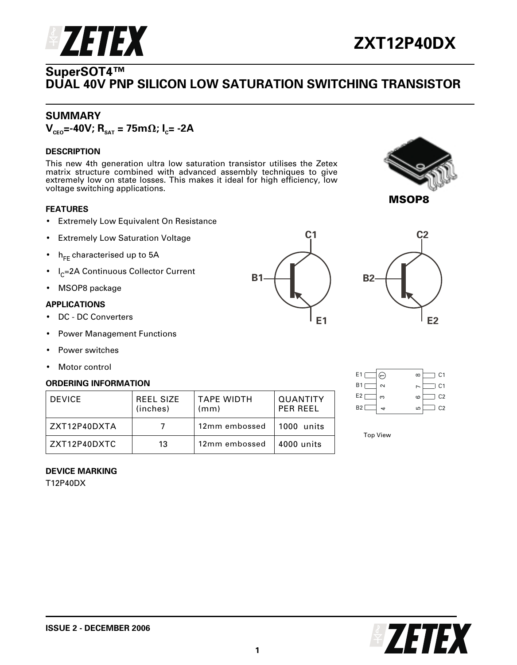

### **SuperSOT4™ DUAL 40V PNP SILICON LOW SATURATION SWITCHING TRANSISTOR**

### **SUMMARY**

 $V_{ceo}$ =-40V;  $R_{sat}$  = 75m $\Omega$ ;  $I_c$ = -2A

### **DESCRIPTION**

This new 4th generation ultra low saturation transistor utilises the Zetex matrix structure combined with advanced assembly techniques to give extremely low on state losses. This makes it ideal for high efficiency, low voltage switching applications.



### **FEATURES**

- Extremely Low Equivalent On Resistance
- **Extremely Low Saturation Voltage**
- $h_{EF}$  characterised up to 5A
- I C=2A Continuous Collector Current
- MSOP8 package

### **APPLICATIONS**

- DC DC Converters
- Power Management Functions
- Power switches
- Motor control

### **ORDERING INFORMATION**

| <b>DEVICE</b> | REEL SIZE<br>(inches) | TAPF WIDTH<br>(mm) | <b>QUANTITY</b><br>PFR RFFI |
|---------------|-----------------------|--------------------|-----------------------------|
| ZXT12P40DXTA  |                       | 12mm embossed      | 1000 units                  |
| ZXT12P40DXTC  | 13                    | 12mm embossed      | 4000 units                  |





| E <sub>1</sub> | ⊖      | $\infty$ | C1             |
|----------------|--------|----------|----------------|
| <b>B1</b>      | $\sim$ |          | C <sub>1</sub> |
| E <sub>2</sub> | S      | ဖ        | C <sub>2</sub> |
| <b>B2</b>      |        | Б        | C <sub>2</sub> |

Top View

### **DEVICE MARKING**

T12P40DX

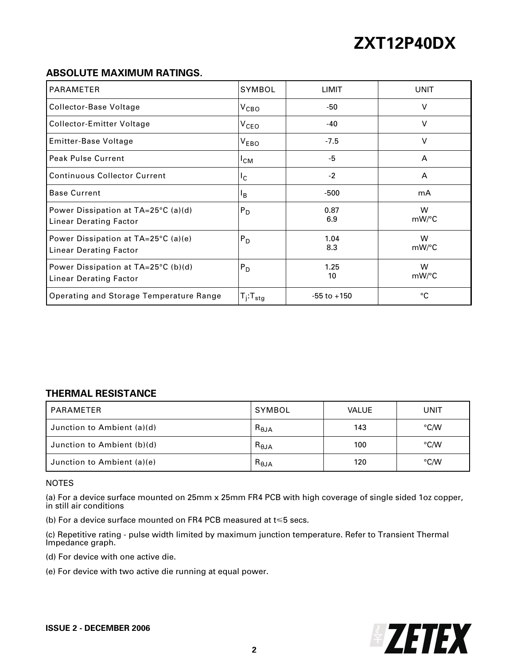### **ABSOLUTE MAXIMUM RATINGS.**

| <b>PARAMETER</b>                                                     | SYMBOL            | <b>LIMIT</b>    | <b>UNIT</b> |
|----------------------------------------------------------------------|-------------------|-----------------|-------------|
| Collector-Base Voltage                                               | $V_{\text{CBO}}$  | -50             | $\vee$      |
| Collector-Emitter Voltage                                            | V <sub>CEO</sub>  | $-40$           | $\vee$      |
| Emitter-Base Voltage                                                 | $V_{EBO}$         | $-7.5$          | $\vee$      |
| Peak Pulse Current                                                   | $I_{CM}$          | -5              | A           |
| <b>Continuous Collector Current</b>                                  | $I_{\rm C}$       | $-2$            | A           |
| <b>Base Current</b>                                                  | $I_{\rm R}$       | $-500$          | mA          |
| Power Dissipation at TA=25°C (a)(d)<br><b>Linear Derating Factor</b> | $P_D$             | 0.87<br>6.9     | W<br>mW/°C  |
| Power Dissipation at TA=25°C (a)(e)<br><b>Linear Derating Factor</b> | $P_D$             | 1.04<br>8.3     | W<br>mW/°C  |
| Power Dissipation at TA=25°C (b)(d)<br><b>Linear Derating Factor</b> | $P_D$             | 1.25<br>10      | W<br>mW/°C  |
| Operating and Storage Temperature Range                              | $T_i$ : $T_{sta}$ | $-55$ to $+150$ | °C          |

### **THERMAL RESISTANCE**

| PARAMETER                  | SYMBOL          | <b>VALUE</b> | UNIT |
|----------------------------|-----------------|--------------|------|
| Junction to Ambient (a)(d) | $R_{\theta,JA}$ | 143          | °C/W |
| Junction to Ambient (b)(d) | $R_{\theta,JA}$ | 100          | °C/W |
| Junction to Ambient (a)(e) | $R_{\theta,JA}$ | 120          | °C/W |

### NOTES

(a) For a device surface mounted on 25mm x 25mm FR4 PCB with high coverage of single sided 1oz copper, in still air conditions

(b) For a device surface mounted on FR4 PCB measured at  $t \le 5$  secs.

(c) Repetitive rating - pulse width limited by maximum junction temperature. Refer to Transient Thermal Impedance graph.

(d) For device with one active die.

(e) For device with two active die running at equal power.

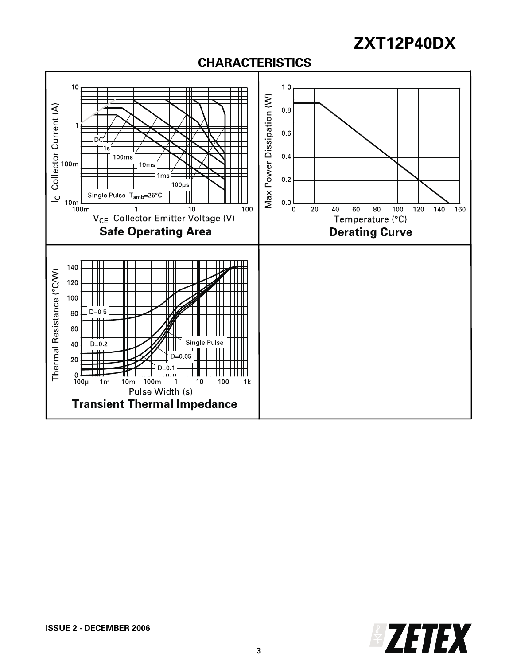## **CHARACTERISTICS**



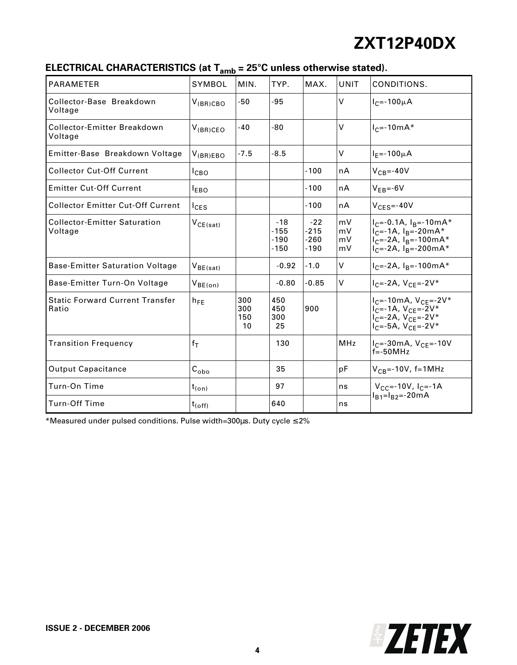| <b>ELECTRICAL CHARACTERISTICS (at <math>T_{amb}</math> = 25°C unless otherwise stated).</b> |  |
|---------------------------------------------------------------------------------------------|--|
|---------------------------------------------------------------------------------------------|--|

|                                                 | allin            |                         |                                     |                                     |                      |                                                                                                                                       |  |
|-------------------------------------------------|------------------|-------------------------|-------------------------------------|-------------------------------------|----------------------|---------------------------------------------------------------------------------------------------------------------------------------|--|
| <b>PARAMETER</b>                                | SYMBOL           | MIN.                    | TYP.                                | MAX.                                | <b>UNIT</b>          | CONDITIONS.                                                                                                                           |  |
| Collector-Base Breakdown<br>Voltage             | $V_{(BR)CBO}$    | $-50$                   | $-95$                               |                                     | $\vee$               | $I_C = -100 \mu A$                                                                                                                    |  |
| Collector-Emitter Breakdown<br>Voltage          | $V_{(BR)CEO}$    | $-40$                   | -80                                 |                                     | $\vee$               | $I_{C} = -10mA*$                                                                                                                      |  |
| Emitter-Base Breakdown Voltage                  | $V_{(BR)EBO}$    | $-7.5$                  | $-8.5$                              |                                     | $\vee$               | $I_F = -100 \mu A$                                                                                                                    |  |
| <b>Collector Cut-Off Current</b>                | I <sub>CBO</sub> |                         |                                     | $-100$                              | nA                   | $V_{CB} = -40V$                                                                                                                       |  |
| <b>Emitter Cut-Off Current</b>                  | $I_{EBO}$        |                         |                                     | $-100$                              | nA                   | $V_{FB} = -6V$                                                                                                                        |  |
| <b>Collector Emitter Cut-Off Current</b>        | $I_{CES}$        |                         |                                     | $-100$                              | nA                   | $V_{CFS} = -40V$                                                                                                                      |  |
| <b>Collector-Emitter Saturation</b><br>Voltage  | $V_{CE(sat)}$    |                         | $-18$<br>$-155$<br>$-190$<br>$-150$ | $-22$<br>$-215$<br>$-260$<br>$-190$ | mV<br>mV<br>mV<br>mV | $I_C = -0.1A$ , $I_B = -10mA*$<br>$I_C = -1A$ , $I_B = -20mA*$<br>$I_C = -2A$ , $I_B = -100mA*$<br>$I_C = -2A$ , $I_B = -200$ m $A^*$ |  |
| <b>Base-Emitter Saturation Voltage</b>          | $V_{BE(sat)}$    |                         | $-0.92$                             | $-1.0$                              | V                    | $I_C = -2A$ , $I_B = -100mA*$                                                                                                         |  |
| Base-Emitter Turn-On Voltage                    | $V_{BE(on)}$     |                         | $-0.80$                             | $-0.85$                             | V                    | $I_C = -2A$ , $V_{C} = -2V^*$                                                                                                         |  |
| <b>Static Forward Current Transfer</b><br>Ratio | $h_{FE}$         | 300<br>300<br>150<br>10 | 450<br>450<br>300<br>25             | 900                                 |                      | $I_C = -10mA, V_{CE} = -2V*$<br>$I_C = -1A$ , $V_{CE} = -2V^*$<br>$I_C = -2A$ , $V_{CE} = -2V^*$<br>$I_{C} = -5A, V_{CF} = -2V^*$     |  |
| <b>Transition Frequency</b>                     | $f_T$            |                         | 130                                 |                                     | MHz                  | $I_C = -30mA, V_C = -10V$<br>$f = -50MHz$                                                                                             |  |
| <b>Output Capacitance</b>                       | $C_{\rm obo}$    |                         | 35                                  |                                     | pF                   | $V_{CB}$ =-10V, f=1MHz                                                                                                                |  |
| Turn-On Time                                    | $t_{(on)}$       |                         | 97                                  |                                     | ns                   | $V_{CC}$ =-10V, $I_{C}$ =-1A                                                                                                          |  |
| <b>Turn-Off Time</b>                            | $t_{(off)}$      |                         | 640                                 |                                     | ns                   | $I_{B1} = I_{B2} = -20mA$                                                                                                             |  |

\*Measured under pulsed conditions. Pulse width=300µs. Duty cycle ≤ 2%

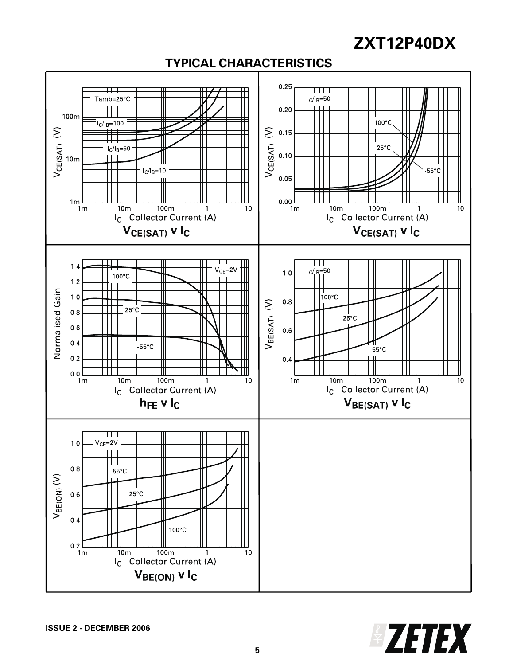## **TYPICAL CHARACTERISTICS**



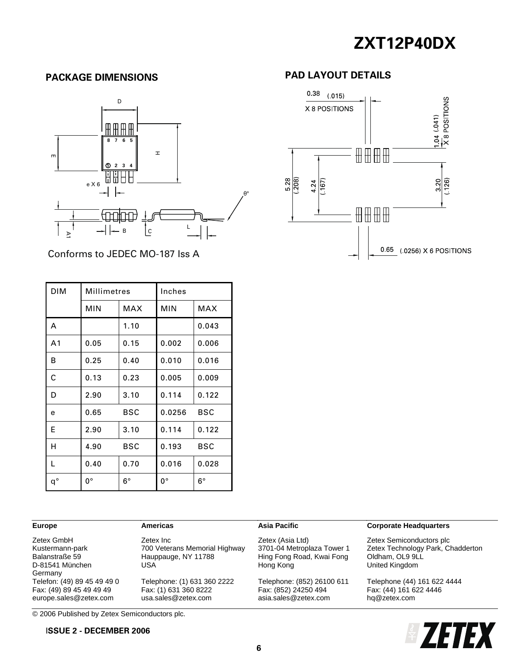

Conforms to JEDEC MO-187 Iss A

| <b>DIM</b>     | Millimetres |             | Inches     |             |
|----------------|-------------|-------------|------------|-------------|
|                | MIN         | <b>MAX</b>  | <b>MIN</b> | MAX         |
| A              |             | 1.10        |            | 0.043       |
| A <sub>1</sub> | 0.05        | 0.15        | 0.002      | 0.006       |
| в              | 0.25        | 0.40        | 0.010      | 0.016       |
| C              | 0.13        | 0.23        | 0.005      | 0.009       |
| D              | 2.90        | 3.10        | 0.114      | 0.122       |
| e              | 0.65        | BSC         | 0.0256     | BSC         |
| E              | 2.90        | 3.10        | 0.114      | 0.122       |
| н              | 4.90        | <b>BSC</b>  | 0.193      | <b>BSC</b>  |
| L              | 0.40        | 0.70        | 0.016      | 0.028       |
| $q^{\circ}$    | $0^{\circ}$ | $6^{\circ}$ | 0°         | $6^{\circ}$ |

### **PACKAGE DIMENSIONS PAD LAYOUT DETAILS**



| Europe                                        | <b>Americas</b>               | Asia Pacific               | <b>Corporate Headquarters</b>     |
|-----------------------------------------------|-------------------------------|----------------------------|-----------------------------------|
| Zetex GmbH                                    | Zetex Inc                     | Zetex (Asia Ltd)           | Zetex Semiconductors plc          |
| Kustermann-park                               | 700 Veterans Memorial Highway | 3701-04 Metroplaza Tower 1 | Zetex Technology Park, Chadderton |
| Balanstraße 59                                | Hauppauge, NY 11788           | Hing Fong Road, Kwai Fong  | Oldham, OL9 9LL                   |
| D-81541 München                               | USA                           | Hong Kong                  | United Kingdom                    |
| Germany                                       |                               |                            |                                   |
| Telefon: (49) 89 45 49 49 0                   | Telephone: (1) 631 360 2222   | Telephone: (852) 26100 611 | Telephone (44) 161 622 4444       |
| Fax: (49) 89 45 49 49 49                      | Fax: (1) 631 360 8222         | Fax: (852) 24250 494       | Fax: (44) 161 622 4446            |
| europe.sales@zetex.com                        | usa.sales@zetex.com           | asia.sales@zetex.com       | hq@zetex.com                      |
| © 2006 Published by Zetex Semiconductors plc. |                               |                            |                                   |

I**SSUE 2 - DECEMBER 2006**

**6**